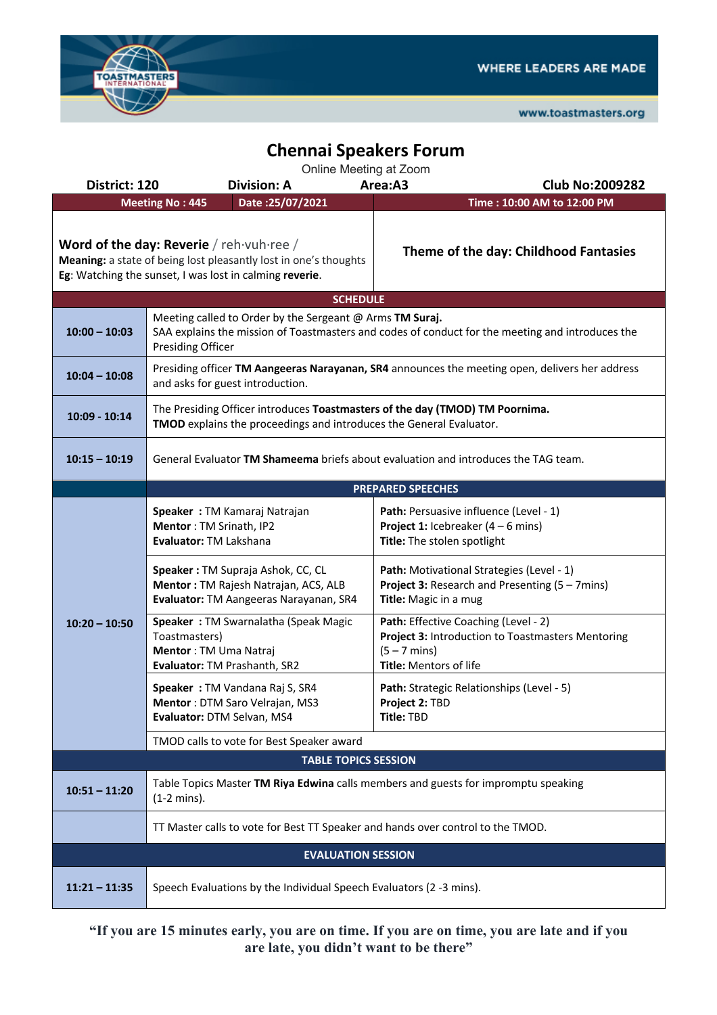

www.toastmasters.org

## **Chennai Speakers Forum**

|                                                                                                                                                                         | Online Meeting at Zoom                                                                                                                                                                   |                                                                                                                                               |  |  |  |  |  |  |
|-------------------------------------------------------------------------------------------------------------------------------------------------------------------------|------------------------------------------------------------------------------------------------------------------------------------------------------------------------------------------|-----------------------------------------------------------------------------------------------------------------------------------------------|--|--|--|--|--|--|
| District: 120                                                                                                                                                           | <b>Division: A</b>                                                                                                                                                                       | Area:A3<br><b>Club No:2009282</b>                                                                                                             |  |  |  |  |  |  |
|                                                                                                                                                                         | <b>Meeting No: 445</b><br>Date: 25/07/2021                                                                                                                                               | Time: 10:00 AM to 12:00 PM                                                                                                                    |  |  |  |  |  |  |
| Word of the day: Reverie / reh vuh ree /<br>Meaning: a state of being lost pleasantly lost in one's thoughts<br>Eg: Watching the sunset, I was lost in calming reverie. |                                                                                                                                                                                          | Theme of the day: Childhood Fantasies                                                                                                         |  |  |  |  |  |  |
|                                                                                                                                                                         | <b>SCHEDULE</b>                                                                                                                                                                          |                                                                                                                                               |  |  |  |  |  |  |
| $10:00 - 10:03$                                                                                                                                                         | Meeting called to Order by the Sergeant @ Arms TM Suraj.<br>SAA explains the mission of Toastmasters and codes of conduct for the meeting and introduces the<br><b>Presiding Officer</b> |                                                                                                                                               |  |  |  |  |  |  |
| $10:04 - 10:08$                                                                                                                                                         | Presiding officer TM Aangeeras Narayanan, SR4 announces the meeting open, delivers her address<br>and asks for guest introduction.                                                       |                                                                                                                                               |  |  |  |  |  |  |
| $10:09 - 10:14$                                                                                                                                                         | The Presiding Officer introduces Toastmasters of the day (TMOD) TM Poornima.<br>TMOD explains the proceedings and introduces the General Evaluator.                                      |                                                                                                                                               |  |  |  |  |  |  |
| $10:15 - 10:19$                                                                                                                                                         | General Evaluator TM Shameema briefs about evaluation and introduces the TAG team.                                                                                                       |                                                                                                                                               |  |  |  |  |  |  |
|                                                                                                                                                                         | <b>PREPARED SPEECHES</b>                                                                                                                                                                 |                                                                                                                                               |  |  |  |  |  |  |
| $10:20 - 10:50$                                                                                                                                                         | Speaker: TM Kamaraj Natrajan<br>Mentor: TM Srinath, IP2<br>Evaluator: TM Lakshana                                                                                                        | Path: Persuasive influence (Level - 1)<br><b>Project 1:</b> Icebreaker $(4 - 6$ mins)<br>Title: The stolen spotlight                          |  |  |  |  |  |  |
|                                                                                                                                                                         | Speaker: TM Supraja Ashok, CC, CL<br>Mentor: TM Rajesh Natrajan, ACS, ALB<br>Evaluator: TM Aangeeras Narayanan, SR4                                                                      | Path: Motivational Strategies (Level - 1)<br><b>Project 3: Research and Presenting (5 - 7mins)</b><br>Title: Magic in a mug                   |  |  |  |  |  |  |
|                                                                                                                                                                         | Speaker: TM Swarnalatha (Speak Magic<br>Toastmasters)<br>Mentor: TM Uma Natraj<br>Evaluator: TM Prashanth, SR2                                                                           | Path: Effective Coaching (Level - 2)<br>Project 3: Introduction to Toastmasters Mentoring<br>$(5 - 7 \text{ mins})$<br>Title: Mentors of life |  |  |  |  |  |  |
|                                                                                                                                                                         | Speaker: TM Vandana Raj S, SR4<br>Mentor: DTM Saro Velrajan, MS3<br>Evaluator: DTM Selvan, MS4                                                                                           | Path: Strategic Relationships (Level - 5)<br>Project 2: TBD<br>Title: TBD                                                                     |  |  |  |  |  |  |
|                                                                                                                                                                         | TMOD calls to vote for Best Speaker award                                                                                                                                                |                                                                                                                                               |  |  |  |  |  |  |
|                                                                                                                                                                         | <b>TABLE TOPICS SESSION</b>                                                                                                                                                              |                                                                                                                                               |  |  |  |  |  |  |
| $10:51 - 11:20$                                                                                                                                                         | Table Topics Master TM Riya Edwina calls members and guests for impromptu speaking<br>$(1-2 \text{ mins}).$                                                                              |                                                                                                                                               |  |  |  |  |  |  |
|                                                                                                                                                                         | TT Master calls to vote for Best TT Speaker and hands over control to the TMOD.                                                                                                          |                                                                                                                                               |  |  |  |  |  |  |
| <b>EVALUATION SESSION</b>                                                                                                                                               |                                                                                                                                                                                          |                                                                                                                                               |  |  |  |  |  |  |
| $11:21 - 11:35$                                                                                                                                                         | Speech Evaluations by the Individual Speech Evaluators (2 -3 mins).                                                                                                                      |                                                                                                                                               |  |  |  |  |  |  |

**"If you are 15 minutes early, you are on time. If you are on time, you are late and if you are late, you didn't want to be there"**